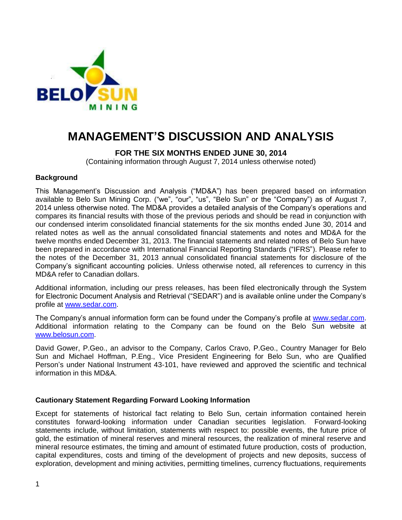

# **MANAGEMENT'S DISCUSSION AND ANALYSIS**

# **FOR THE SIX MONTHS ENDED JUNE 30, 2014**

(Containing information through August 7, 2014 unless otherwise noted)

## **Background**

This Management's Discussion and Analysis ("MD&A") has been prepared based on information available to Belo Sun Mining Corp. ("we", "our", "us", "Belo Sun" or the "Company") as of August 7, 2014 unless otherwise noted. The MD&A provides a detailed analysis of the Company's operations and compares its financial results with those of the previous periods and should be read in conjunction with our condensed interim consolidated financial statements for the six months ended June 30, 2014 and related notes as well as the annual consolidated financial statements and notes and MD&A for the twelve months ended December 31, 2013. The financial statements and related notes of Belo Sun have been prepared in accordance with International Financial Reporting Standards ("IFRS"). Please refer to the notes of the December 31, 2013 annual consolidated financial statements for disclosure of the Company's significant accounting policies. Unless otherwise noted, all references to currency in this MD&A refer to Canadian dollars.

Additional information, including our press releases, has been filed electronically through the System for Electronic Document Analysis and Retrieval ("SEDAR") and is available online under the Company's profile at [www.sedar.com.](http://www.sedar.com/)

The Company's annual information form can be found under the Company's profile at [www.sedar.com.](http://www.sedar.com/) Additional information relating to the Company can be found on the Belo Sun website at [www.belosun.com.](http://www.belosun.com/)

David Gower, P.Geo., an advisor to the Company, Carlos Cravo, P.Geo., Country Manager for Belo Sun and Michael Hoffman, P.Eng., Vice President Engineering for Belo Sun, who are Qualified Person's under National Instrument 43-101, have reviewed and approved the scientific and technical information in this MD&A.

## **Cautionary Statement Regarding Forward Looking Information**

Except for statements of historical fact relating to Belo Sun, certain information contained herein constitutes forward-looking information under Canadian securities legislation. Forward-looking statements include, without limitation, statements with respect to: possible events, the future price of gold, the estimation of mineral reserves and mineral resources, the realization of mineral reserve and mineral resource estimates, the timing and amount of estimated future production, costs of production, capital expenditures, costs and timing of the development of projects and new deposits, success of exploration, development and mining activities, permitting timelines, currency fluctuations, requirements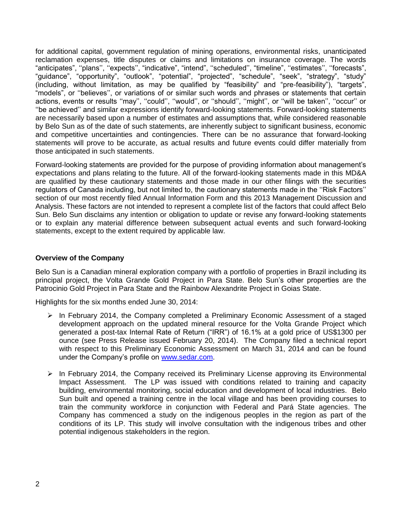for additional capital, government regulation of mining operations, environmental risks, unanticipated reclamation expenses, title disputes or claims and limitations on insurance coverage. The words "anticipates", ''plans'', ''expects'', "indicative", "intend", ''scheduled'', "timeline", ''estimates'', ''forecasts", "guidance", "opportunity", "outlook", "potential", "projected", "schedule", "seek", "strategy", "study" (including, without limitation, as may be qualified by "feasibility" and "pre-feasibility"), "targets", "models", or ''believes'', or variations of or similar such words and phrases or statements that certain actions, events or results "may", "could", "would", or "should", "might", or "will be taken", "occur" or ''be achieved'' and similar expressions identify forward-looking statements. Forward-looking statements are necessarily based upon a number of estimates and assumptions that, while considered reasonable by Belo Sun as of the date of such statements, are inherently subject to significant business, economic and competitive uncertainties and contingencies. There can be no assurance that forward-looking statements will prove to be accurate, as actual results and future events could differ materially from those anticipated in such statements.

Forward-looking statements are provided for the purpose of providing information about management's expectations and plans relating to the future. All of the forward-looking statements made in this MD&A are qualified by these cautionary statements and those made in our other filings with the securities regulators of Canada including, but not limited to, the cautionary statements made in the ''Risk Factors'' section of our most recently filed Annual Information Form and this 2013 Management Discussion and Analysis. These factors are not intended to represent a complete list of the factors that could affect Belo Sun. Belo Sun disclaims any intention or obligation to update or revise any forward-looking statements or to explain any material difference between subsequent actual events and such forward-looking statements, except to the extent required by applicable law.

## **Overview of the Company**

Belo Sun is a Canadian mineral exploration company with a portfolio of properties in Brazil including its principal project, the Volta Grande Gold Project in Para State. Belo Sun's other properties are the Patrocinio Gold Project in Para State and the Rainbow Alexandrite Project in Goias State.

Highlights for the six months ended June 30, 2014:

- $\triangleright$  In February 2014, the Company completed a Preliminary Economic Assessment of a staged development approach on the updated mineral resource for the Volta Grande Project which generated a post-tax Internal Rate of Return ("IRR") of 16.1% at a gold price of US\$1300 per ounce (see Press Release issued February 20, 2014). The Company filed a technical report with respect to this Preliminary Economic Assessment on March 31, 2014 and can be found under the Company's profile on [www.sedar.com.](http://www.sedar.com/)
- $\triangleright$  In February 2014, the Company received its Preliminary License approving its Environmental Impact Assessment. The LP was issued with conditions related to training and capacity building, environmental monitoring, social education and development of local industries. Belo Sun built and opened a training centre in the local village and has been providing courses to train the community workforce in conjunction with Federal and Pará State agencies. The Company has commenced a study on the indigenous peoples in the region as part of the conditions of its LP. This study will involve consultation with the indigenous tribes and other potential indigenous stakeholders in the region.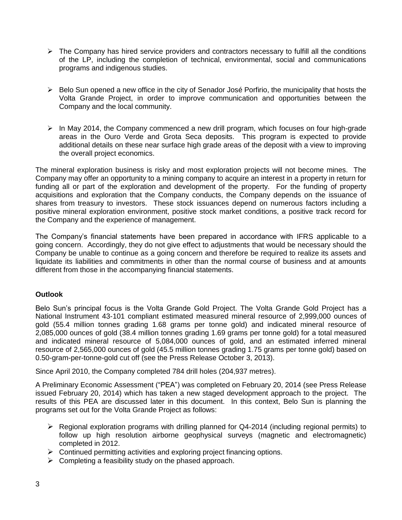- $\triangleright$  The Company has hired service providers and contractors necessary to fulfill all the conditions of the LP, including the completion of technical, environmental, social and communications programs and indigenous studies.
- $\triangleright$  Belo Sun opened a new office in the city of Senador José Porfirio, the municipality that hosts the Volta Grande Project, in order to improve communication and opportunities between the Company and the local community.
- $\triangleright$  In May 2014, the Company commenced a new drill program, which focuses on four high-grade areas in the Ouro Verde and Grota Seca deposits. This program is expected to provide additional details on these near surface high grade areas of the deposit with a view to improving the overall project economics.

The mineral exploration business is risky and most exploration projects will not become mines. The Company may offer an opportunity to a mining company to acquire an interest in a property in return for funding all or part of the exploration and development of the property. For the funding of property acquisitions and exploration that the Company conducts, the Company depends on the issuance of shares from treasury to investors. These stock issuances depend on numerous factors including a positive mineral exploration environment, positive stock market conditions, a positive track record for the Company and the experience of management.

The Company's financial statements have been prepared in accordance with IFRS applicable to a going concern. Accordingly, they do not give effect to adjustments that would be necessary should the Company be unable to continue as a going concern and therefore be required to realize its assets and liquidate its liabilities and commitments in other than the normal course of business and at amounts different from those in the accompanying financial statements.

# **Outlook**

Belo Sun's principal focus is the Volta Grande Gold Project. The Volta Grande Gold Project has a National Instrument 43-101 compliant estimated measured mineral resource of 2,999,000 ounces of gold (55.4 million tonnes grading 1.68 grams per tonne gold) and indicated mineral resource of 2,085,000 ounces of gold (38.4 million tonnes grading 1.69 grams per tonne gold) for a total measured and indicated mineral resource of 5,084,000 ounces of gold, and an estimated inferred mineral resource of 2,565,000 ounces of gold (45.5 million tonnes grading 1.75 grams per tonne gold) based on 0.50-gram-per-tonne-gold cut off (see the Press Release October 3, 2013).

Since April 2010, the Company completed 784 drill holes (204,937 metres).

A Preliminary Economic Assessment ("PEA") was completed on February 20, 2014 (see Press Release issued February 20, 2014) which has taken a new staged development approach to the project. The results of this PEA are discussed later in this document. In this context, Belo Sun is planning the programs set out for the Volta Grande Project as follows:

- $\triangleright$  Regional exploration programs with drilling planned for Q4-2014 (including regional permits) to follow up high resolution airborne geophysical surveys (magnetic and electromagnetic) completed in 2012.
- $\triangleright$  Continued permitting activities and exploring project financing options.
- $\triangleright$  Completing a feasibility study on the phased approach.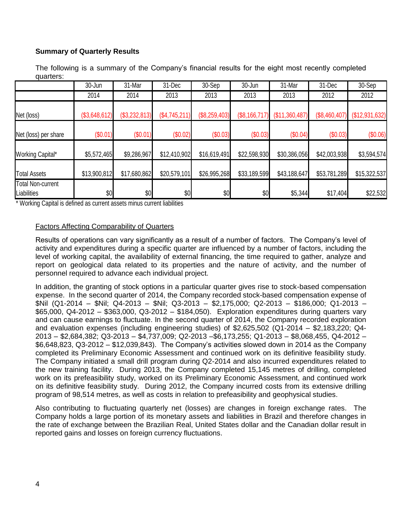# **Summary of Quarterly Results**

The following is a summary of the Company's financial results for the eight most recently completed quarters:

|                                         | 30-Jun        | 31-Mar        | 31-Dec        | 30-Sep        | 30-Jun        | 31-Mar         | 31-Dec        | 30-Sep         |
|-----------------------------------------|---------------|---------------|---------------|---------------|---------------|----------------|---------------|----------------|
|                                         | 2014          | 2014          | 2013          | 2013          | 2013          | 2013           | 2012          | 2012           |
| Net (loss)                              | (\$3,648,612) | (\$3,232,813) | (\$4,745,211) | (\$8,259,403) | (\$8,166,717) | (\$11,360,487) | (\$8,460,407) | (\$12,931,632) |
| Net (loss) per share                    | (\$0.01)      | (\$0.01)      | (\$0.02)      | (\$0.03)      | (\$0.03)      | (\$0.04)       | (\$0.03)      | (\$0.06)       |
| Working Capital*                        | \$5,572,465   | \$9,286,967   | \$12,410,902  | \$16,619,491  | \$22,598,930  | \$30,386,056   | \$42,003,938  | \$3,594,574    |
| <b>Total Assets</b>                     | \$13,900,812  | \$17,680,862  | \$20,579,101  | \$26,995,268  | \$33,189,599  | \$43,188,647   | \$53,781,289  | \$15,322,537   |
| <b>Total Non-current</b><br>Liabilities | \$0           | \$0           | \$0           | \$0           | \$0           | \$5,344        | \$17,404      | \$22,532       |

\* Working Capital is defined as current assets minus current liabilities

## Factors Affecting Comparability of Quarters

Results of operations can vary significantly as a result of a number of factors. The Company's level of activity and expenditures during a specific quarter are influenced by a number of factors, including the level of working capital, the availability of external financing, the time required to gather, analyze and report on geological data related to its properties and the nature of activity, and the number of personnel required to advance each individual project.

In addition, the granting of stock options in a particular quarter gives rise to stock-based compensation expense. In the second quarter of 2014, the Company recorded stock-based compensation expense of \$Nil (Q1-2014 – \$Nil; Q4-2013 – \$Nil; Q3-2013 – \$2,175,000; Q2-2013 – \$186,000; Q1-2013 – \$65,000, Q4-2012 – \$363,000, Q3-2012 – \$184,050). Exploration expenditures during quarters vary and can cause earnings to fluctuate. In the second quarter of 2014, the Company recorded exploration and evaluation expenses (including engineering studies) of \$2,625,502 (Q1-2014 – \$2,183,220; Q4- 2013 – \$2,684,382; Q3-2013 – \$4,737,009; Q2-2013 –\$6,173,255; Q1-2013 – \$8,068,455, Q4-2012 – \$6,648,823, Q3-2012 – \$12,039,843). The Company's activities slowed down in 2014 as the Company completed its Preliminary Economic Assessment and continued work on its definitive feasibility study. The Company initiated a small drill program during Q2-2014 and also incurred expenditures related to the new training facility. During 2013, the Company completed 15,145 metres of drilling, completed work on its prefeasibility study, worked on its Preliminary Economic Assessment, and continued work on its definitive feasibility study. During 2012, the Company incurred costs from its extensive drilling program of 98,514 metres, as well as costs in relation to prefeasibility and geophysical studies.

Also contributing to fluctuating quarterly net (losses) are changes in foreign exchange rates. The Company holds a large portion of its monetary assets and liabilities in Brazil and therefore changes in the rate of exchange between the Brazilian Real, United States dollar and the Canadian dollar result in reported gains and losses on foreign currency fluctuations.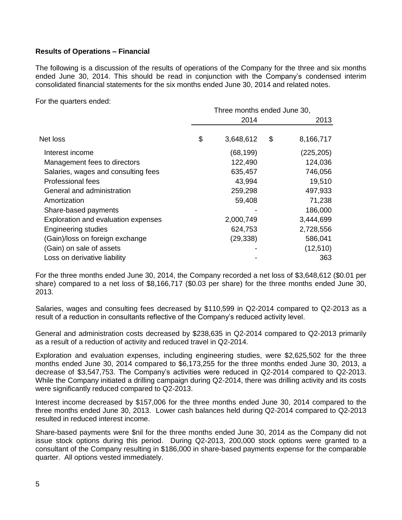# **Results of Operations – Financial**

The following is a discussion of the results of operations of the Company for the three and six months ended June 30, 2014. This should be read in conjunction with the Company's condensed interim consolidated financial statements for the six months ended June 30, 2014 and related notes.

For the quarters ended:

|                                     | Three months ended June 30, |           |    |            |  |  |
|-------------------------------------|-----------------------------|-----------|----|------------|--|--|
|                                     |                             | 2014      |    | 2013       |  |  |
| Net loss                            | \$                          | 3,648,612 | \$ | 8,166,717  |  |  |
| Interest income                     |                             | (68, 199) |    | (225, 205) |  |  |
| Management fees to directors        |                             | 122,490   |    | 124,036    |  |  |
| Salaries, wages and consulting fees |                             | 635,457   |    | 746,056    |  |  |
| Professional fees                   |                             | 43,994    |    | 19,510     |  |  |
| General and administration          |                             | 259,298   |    | 497,933    |  |  |
| Amortization                        |                             | 59,408    |    | 71,238     |  |  |
| Share-based payments                |                             |           |    | 186,000    |  |  |
| Exploration and evaluation expenses |                             | 2,000,749 |    | 3,444,699  |  |  |
| <b>Engineering studies</b>          |                             | 624,753   |    | 2,728,556  |  |  |
| (Gain)/loss on foreign exchange     |                             | (29, 338) |    | 586,041    |  |  |
| (Gain) on sale of assets            |                             |           |    | (12, 510)  |  |  |
| Loss on derivative liability        |                             |           |    | 363        |  |  |

For the three months ended June 30, 2014, the Company recorded a net loss of \$3,648,612 (\$0.01 per share) compared to a net loss of \$8,166,717 (\$0.03 per share) for the three months ended June 30, 2013.

Salaries, wages and consulting fees decreased by \$110,599 in Q2-2014 compared to Q2-2013 as a result of a reduction in consultants reflective of the Company's reduced activity level.

General and administration costs decreased by \$238,635 in Q2-2014 compared to Q2-2013 primarily as a result of a reduction of activity and reduced travel in Q2-2014.

Exploration and evaluation expenses, including engineering studies, were \$2,625,502 for the three months ended June 30, 2014 compared to \$6,173,255 for the three months ended June 30, 2013, a decrease of \$3,547,753. The Company's activities were reduced in Q2-2014 compared to Q2-2013. While the Company initiated a drilling campaign during Q2-2014, there was drilling activity and its costs were significantly reduced compared to Q2-2013.

Interest income decreased by \$157,006 for the three months ended June 30, 2014 compared to the three months ended June 30, 2013. Lower cash balances held during Q2-2014 compared to Q2-2013 resulted in reduced interest income.

Share-based payments were \$nil for the three months ended June 30, 2014 as the Company did not issue stock options during this period. During Q2-2013, 200,000 stock options were granted to a consultant of the Company resulting in \$186,000 in share-based payments expense for the comparable quarter. All options vested immediately.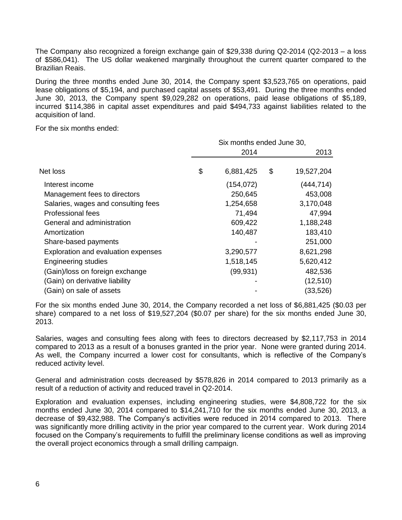The Company also recognized a foreign exchange gain of \$29,338 during Q2-2014 (Q2-2013 – a loss of \$586,041). The US dollar weakened marginally throughout the current quarter compared to the Brazilian Reais.

During the three months ended June 30, 2014, the Company spent \$3,523,765 on operations, paid lease obligations of \$5,194, and purchased capital assets of \$53,491. During the three months ended June 30, 2013, the Company spent \$9,029,282 on operations, paid lease obligations of \$5,189, incurred \$114,386 in capital asset expenditures and paid \$494,733 against liabilities related to the acquisition of land.

For the six months ended:

|                                     |  | Six months ended June 30, |      |            |  |  |  |
|-------------------------------------|--|---------------------------|------|------------|--|--|--|
|                                     |  | 2014                      | 2013 |            |  |  |  |
| Net loss                            |  | 6,881,425                 | \$   | 19,527,204 |  |  |  |
| Interest income                     |  | (154, 072)                |      | (444, 714) |  |  |  |
| Management fees to directors        |  | 250,645                   |      | 453,008    |  |  |  |
| Salaries, wages and consulting fees |  | 1,254,658                 |      | 3,170,048  |  |  |  |
| Professional fees                   |  | 71,494                    |      | 47,994     |  |  |  |
| General and administration          |  | 609,422                   |      | 1,188,248  |  |  |  |
| Amortization                        |  | 140,487                   |      | 183,410    |  |  |  |
| Share-based payments                |  |                           |      | 251,000    |  |  |  |
| Exploration and evaluation expenses |  | 3,290,577                 |      | 8,621,298  |  |  |  |
| <b>Engineering studies</b>          |  | 1,518,145                 |      | 5,620,412  |  |  |  |
| (Gain)/loss on foreign exchange     |  | (99, 931)                 |      | 482,536    |  |  |  |
| (Gain) on derivative liability      |  |                           |      | (12, 510)  |  |  |  |
| (Gain) on sale of assets            |  |                           |      | (33, 526)  |  |  |  |

For the six months ended June 30, 2014, the Company recorded a net loss of \$6,881,425 (\$0.03 per share) compared to a net loss of \$19,527,204 (\$0.07 per share) for the six months ended June 30, 2013.

Salaries, wages and consulting fees along with fees to directors decreased by \$2,117,753 in 2014 compared to 2013 as a result of a bonuses granted in the prior year. None were granted during 2014. As well, the Company incurred a lower cost for consultants, which is reflective of the Company's reduced activity level.

General and administration costs decreased by \$578,826 in 2014 compared to 2013 primarily as a result of a reduction of activity and reduced travel in Q2-2014.

Exploration and evaluation expenses, including engineering studies, were \$4,808,722 for the six months ended June 30, 2014 compared to \$14,241,710 for the six months ended June 30, 2013, a decrease of \$9,432,988. The Company's activities were reduced in 2014 compared to 2013. There was significantly more drilling activity in the prior year compared to the current year. Work during 2014 focused on the Company's requirements to fulfill the preliminary license conditions as well as improving the overall project economics through a small drilling campaign.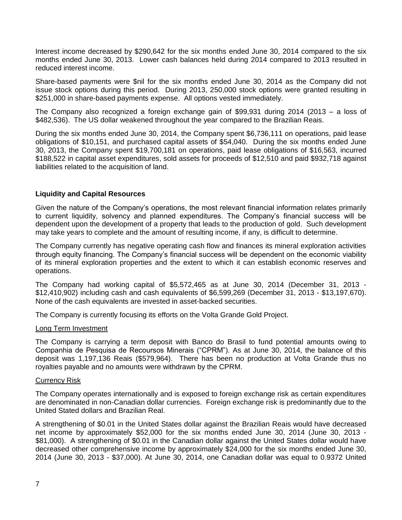Interest income decreased by \$290,642 for the six months ended June 30, 2014 compared to the six months ended June 30, 2013. Lower cash balances held during 2014 compared to 2013 resulted in reduced interest income.

Share-based payments were \$nil for the six months ended June 30, 2014 as the Company did not issue stock options during this period. During 2013, 250,000 stock options were granted resulting in \$251,000 in share-based payments expense. All options vested immediately.

The Company also recognized a foreign exchange gain of \$99,931 during 2014 (2013 – a loss of \$482,536). The US dollar weakened throughout the year compared to the Brazilian Reais.

During the six months ended June 30, 2014, the Company spent \$6,736,111 on operations, paid lease obligations of \$10,151, and purchased capital assets of \$54,040. During the six months ended June 30, 2013, the Company spent \$19,700,181 on operations, paid lease obligations of \$16,563, incurred \$188,522 in capital asset expenditures, sold assets for proceeds of \$12,510 and paid \$932,718 against liabilities related to the acquisition of land.

## **Liquidity and Capital Resources**

Given the nature of the Company's operations, the most relevant financial information relates primarily to current liquidity, solvency and planned expenditures. The Company's financial success will be dependent upon the development of a property that leads to the production of gold. Such development may take years to complete and the amount of resulting income, if any, is difficult to determine.

The Company currently has negative operating cash flow and finances its mineral exploration activities through equity financing. The Company's financial success will be dependent on the economic viability of its mineral exploration properties and the extent to which it can establish economic reserves and operations.

The Company had working capital of \$5,572,465 as at June 30, 2014 (December 31, 2013 - \$12,410,902) including cash and cash equivalents of \$6,599,269 (December 31, 2013 - \$13,197,670). None of the cash equivalents are invested in asset-backed securities.

The Company is currently focusing its efforts on the Volta Grande Gold Project.

#### Long Term Investment

The Company is carrying a term deposit with Banco do Brasil to fund potential amounts owing to Companhia de Pesquisa de Recoursos Minerais ("CPRM"). As at June 30, 2014, the balance of this deposit was 1,197,136 Reais (\$579,964). There has been no production at Volta Grande thus no royalties payable and no amounts were withdrawn by the CPRM.

#### Currency Risk

The Company operates internationally and is exposed to foreign exchange risk as certain expenditures are denominated in non-Canadian dollar currencies. Foreign exchange risk is predominantly due to the United Stated dollars and Brazilian Real.

A strengthening of \$0.01 in the United States dollar against the Brazilian Reais would have decreased net income by approximately \$52,000 for the six months ended June 30, 2014 (June 30, 2013 - \$81,000). A strengthening of \$0.01 in the Canadian dollar against the United States dollar would have decreased other comprehensive income by approximately \$24,000 for the six months ended June 30, 2014 (June 30, 2013 - \$37,000). At June 30, 2014, one Canadian dollar was equal to 0.9372 United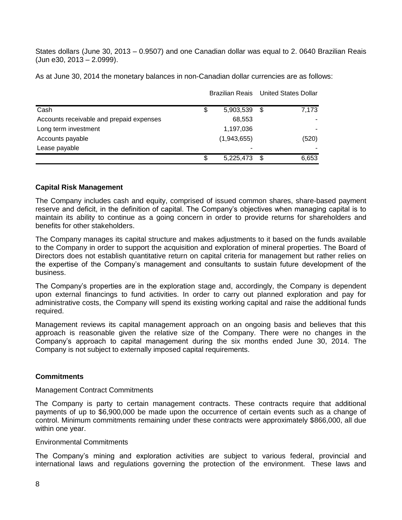States dollars (June 30, 2013 – 0.9507) and one Canadian dollar was equal to 2. 0640 Brazilian Reais (Jun e30, 2013 – 2.0999).

As at June 30, 2014 the monetary balances in non-Canadian dollar currencies are as follows:

|                                          |    |             |   | Brazilian Reais United States Dollar |  |
|------------------------------------------|----|-------------|---|--------------------------------------|--|
| Cash                                     | \$ | 5,903,539   | S | 7,173                                |  |
| Accounts receivable and prepaid expenses |    | 68,553      |   |                                      |  |
| Long term investment                     |    | 1,197,036   |   |                                      |  |
| Accounts payable                         |    | (1,943,655) |   | (520)                                |  |
| Lease payable                            |    | ۰           |   |                                      |  |
|                                          | \$ | 5,225,473   |   | 6,653                                |  |

#### **Capital Risk Management**

The Company includes cash and equity, comprised of issued common shares, share-based payment reserve and deficit, in the definition of capital. The Company's objectives when managing capital is to maintain its ability to continue as a going concern in order to provide returns for shareholders and benefits for other stakeholders.

The Company manages its capital structure and makes adjustments to it based on the funds available to the Company in order to support the acquisition and exploration of mineral properties. The Board of Directors does not establish quantitative return on capital criteria for management but rather relies on the expertise of the Company's management and consultants to sustain future development of the business.

The Company's properties are in the exploration stage and, accordingly, the Company is dependent upon external financings to fund activities. In order to carry out planned exploration and pay for administrative costs, the Company will spend its existing working capital and raise the additional funds required.

Management reviews its capital management approach on an ongoing basis and believes that this approach is reasonable given the relative size of the Company. There were no changes in the Company's approach to capital management during the six months ended June 30, 2014. The Company is not subject to externally imposed capital requirements.

#### **Commitments**

#### Management Contract Commitments

The Company is party to certain management contracts. These contracts require that additional payments of up to \$6,900,000 be made upon the occurrence of certain events such as a change of control. Minimum commitments remaining under these contracts were approximately \$866,000, all due within one year.

#### Environmental Commitments

The Company's mining and exploration activities are subject to various federal, provincial and international laws and regulations governing the protection of the environment. These laws and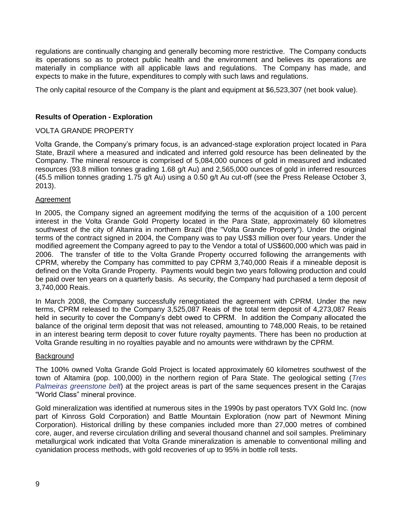regulations are continually changing and generally becoming more restrictive. The Company conducts its operations so as to protect public health and the environment and believes its operations are materially in compliance with all applicable laws and regulations. The Company has made, and expects to make in the future, expenditures to comply with such laws and regulations.

The only capital resource of the Company is the plant and equipment at \$6,523,307 (net book value).

## **Results of Operation - Exploration**

## VOLTA GRANDE PROPERTY

Volta Grande, the Company's primary focus, is an advanced-stage exploration project located in Para State, Brazil where a measured and indicated and inferred gold resource has been delineated by the Company. The mineral resource is comprised of 5,084,000 ounces of gold in measured and indicated resources (93.8 million tonnes grading 1.68 g/t Au) and 2,565,000 ounces of gold in inferred resources (45.5 million tonnes grading 1.75 g/t Au) using a 0.50 g/t Au cut-off (see the Press Release October 3, 2013).

#### Agreement

In 2005, the Company signed an agreement modifying the terms of the acquisition of a 100 percent interest in the Volta Grande Gold Property located in the Para State, approximately 60 kilometres southwest of the city of Altamira in northern Brazil (the "Volta Grande Property"). Under the original terms of the contract signed in 2004, the Company was to pay US\$3 million over four years. Under the modified agreement the Company agreed to pay to the Vendor a total of US\$600,000 which was paid in 2006. The transfer of title to the Volta Grande Property occurred following the arrangements with CPRM, whereby the Company has committed to pay CPRM 3,740,000 Reais if a mineable deposit is defined on the Volta Grande Property. Payments would begin two years following production and could be paid over ten years on a quarterly basis. As security, the Company had purchased a term deposit of 3,740,000 Reais.

In March 2008, the Company successfully renegotiated the agreement with CPRM. Under the new terms, CPRM released to the Company 3,525,087 Reais of the total term deposit of 4,273,087 Reais held in security to cover the Company's debt owed to CPRM. In addition the Company allocated the balance of the original term deposit that was not released, amounting to 748,000 Reais, to be retained in an interest bearing term deposit to cover future royalty payments. There has been no production at Volta Grande resulting in no royalties payable and no amounts were withdrawn by the CPRM.

#### **Background**

The 100% owned Volta Grande Gold Project is located approximately 60 kilometres southwest of the town of Altamira (pop. 100,000) in the northern region of Para State. The geological setting (*Tres Palmeiras greenstone belt*) at the project areas is part of the same sequences present in the Carajas "World Class" mineral province.

Gold mineralization was identified at numerous sites in the 1990s by past operators TVX Gold Inc. (now part of Kinross Gold Corporation) and Battle Mountain Exploration (now part of Newmont Mining Corporation). Historical drilling by these companies included more than 27,000 metres of combined core, auger, and reverse circulation drilling and several thousand channel and soil samples. Preliminary metallurgical work indicated that Volta Grande mineralization is amenable to conventional milling and cyanidation process methods, with gold recoveries of up to 95% in bottle roll tests.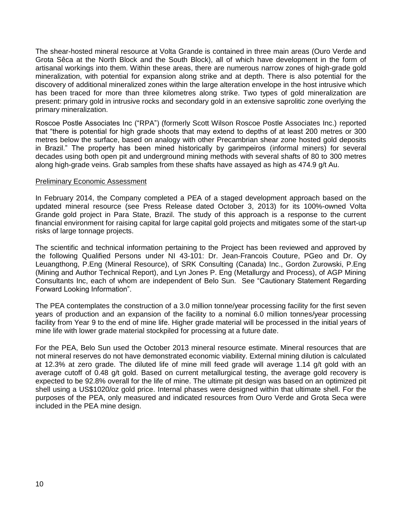The shear-hosted mineral resource at Volta Grande is contained in three main areas (Ouro Verde and Grota Sêca at the North Block and the South Block), all of which have development in the form of artisanal workings into them. Within these areas, there are numerous narrow zones of high-grade gold mineralization, with potential for expansion along strike and at depth. There is also potential for the discovery of additional mineralized zones within the large alteration envelope in the host intrusive which has been traced for more than three kilometres along strike. Two types of gold mineralization are present: primary gold in intrusive rocks and secondary gold in an extensive saprolitic zone overlying the primary mineralization.

Roscoe Postle Associates Inc ("RPA") (formerly Scott Wilson Roscoe Postle Associates Inc.) reported that "there is potential for high grade shoots that may extend to depths of at least 200 metres or 300 metres below the surface, based on analogy with other Precambrian shear zone hosted gold deposits in Brazil." The property has been mined historically by garimpeiros (informal miners) for several decades using both open pit and underground mining methods with several shafts of 80 to 300 metres along high-grade veins. Grab samples from these shafts have assayed as high as 474.9 g/t Au.

## Preliminary Economic Assessment

In February 2014, the Company completed a PEA of a staged development approach based on the updated mineral resource (see Press Release dated October 3, 2013) for its 100%-owned Volta Grande gold project in Para State, Brazil. The study of this approach is a response to the current financial environment for raising capital for large capital gold projects and mitigates some of the start-up risks of large tonnage projects.

The scientific and technical information pertaining to the Project has been reviewed and approved by the following Qualified Persons under NI 43-101: Dr. Jean-Francois Couture, PGeo and Dr. Oy Leuangthong, P.Eng (Mineral Resource), of SRK Consulting (Canada) Inc., Gordon Zurowski, P.Eng (Mining and Author Technical Report), and Lyn Jones P. Eng (Metallurgy and Process), of AGP Mining Consultants Inc, each of whom are independent of Belo Sun. See "Cautionary Statement Regarding Forward Looking Information".

The PEA contemplates the construction of a 3.0 million tonne/year processing facility for the first seven years of production and an expansion of the facility to a nominal 6.0 million tonnes/year processing facility from Year 9 to the end of mine life. Higher grade material will be processed in the initial years of mine life with lower grade material stockpiled for processing at a future date.

For the PEA, Belo Sun used the October 2013 mineral resource estimate. Mineral resources that are not mineral reserves do not have demonstrated economic viability. External mining dilution is calculated at 12.3% at zero grade. The diluted life of mine mill feed grade will average 1.14 g/t gold with an average cutoff of 0.48 g/t gold. Based on current metallurgical testing, the average gold recovery is expected to be 92.8% overall for the life of mine. The ultimate pit design was based on an optimized pit shell using a US\$1020/oz gold price. Internal phases were designed within that ultimate shell. For the purposes of the PEA, only measured and indicated resources from Ouro Verde and Grota Seca were included in the PEA mine design.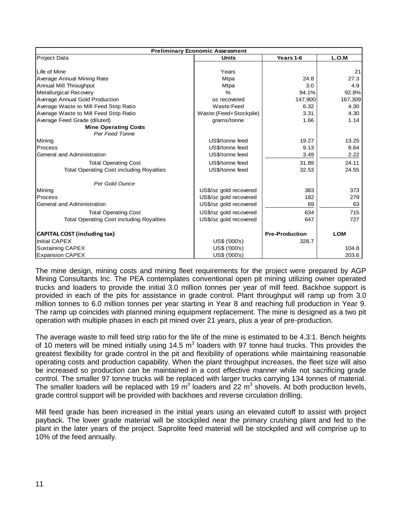| <b>Preliminary Economic Assessment</b>          |                         |                       |            |  |  |  |  |
|-------------------------------------------------|-------------------------|-----------------------|------------|--|--|--|--|
| Project Data                                    | <b>Units</b>            | Years 1-6             | L.O.M      |  |  |  |  |
|                                                 |                         |                       |            |  |  |  |  |
| Life of Mine                                    | Years                   |                       | 21         |  |  |  |  |
| Average Annual Mining Rate                      | <b>Mtpa</b>             | 24.8                  | 27.3       |  |  |  |  |
| Annual Mill Throughput                          | <b>Mtpa</b>             | 3.0                   | 4.9        |  |  |  |  |
| Metallurgical Recovery                          | $\frac{6}{6}$           | 94.1%                 | 92.8%      |  |  |  |  |
| Average Annual Gold Production                  | oz recovered            | 147,900               | 167,309    |  |  |  |  |
| Average Waste to Mill Feed Strip Ratio          | Waste:Feed              | 6.32                  | 4.30       |  |  |  |  |
| Average Waste to Mill Feed Strip Ratio          | Waste: (Feed+Stockpile) | 3.31                  | 4.30       |  |  |  |  |
| Average Feed Grade (diluted)                    | grams/tonne             | 1.66                  | 1.14       |  |  |  |  |
| <b>Mine Operating Costs</b>                     |                         |                       |            |  |  |  |  |
| Per Feed Tonne                                  |                         |                       |            |  |  |  |  |
| Mining                                          | US\$/tonne feed         | 19.27                 | 13.25      |  |  |  |  |
| Process                                         | US\$/tonne feed         | 9.13                  | 8.64       |  |  |  |  |
| General and Administration                      | US\$/tonne feed         | 3.49                  | 2.22       |  |  |  |  |
| <b>Total Operating Cost</b>                     | US\$/tonne feed         | 31.89                 | 24.11      |  |  |  |  |
| <b>Total Operating Cost including Royalties</b> | US\$/tonne feed         | 32.53                 | 24.55      |  |  |  |  |
| Per Gold Ounce                                  |                         |                       |            |  |  |  |  |
| Mining                                          | US\$/oz gold recovered  | 383                   | 373        |  |  |  |  |
| Process                                         | US\$/oz gold recovered  | 182                   | 279        |  |  |  |  |
| General and Administration                      | US\$/oz gold recovered  | 69                    | 63         |  |  |  |  |
| <b>Total Operating Cost</b>                     | US\$/oz gold recovered  | 634                   | 715        |  |  |  |  |
| <b>Total Operating Cost including Royalties</b> | US\$/oz gold recovered  | 647                   | 727        |  |  |  |  |
| <b>CAPITAL COST (including tax)</b>             |                         | <b>Pre-Production</b> | <b>LOM</b> |  |  |  |  |
| <b>Initial CAPEX</b>                            | US\$ ('000's)           | 328.7                 |            |  |  |  |  |
| <b>Sustaining CAPEX</b>                         | US\$ ('000's)           |                       | 104.8      |  |  |  |  |
| <b>Expansion CAPEX</b>                          | US\$ ('000's)           |                       | 203.6      |  |  |  |  |

The mine design, mining costs and mining fleet requirements for the project were prepared by AGP Mining Consultants Inc. The PEA contemplates conventional open pit mining utilizing owner operated trucks and loaders to provide the initial 3.0 million tonnes per year of mill feed. Backhoe support is provided in each of the pits for assistance in grade control. Plant throughput will ramp up from 3.0 million tonnes to 6.0 million tonnes per year starting in Year 8 and reaching full production in Year 9. The ramp up coincides with planned mining equipment replacement. The mine is designed as a two pit operation with multiple phases in each pit mined over 21 years, plus a year of pre-production.

The average waste to mill feed strip ratio for the life of the mine is estimated to be 4.3:1. Bench heights of 10 meters will be mined initially using 14.5  $m^3$  loaders with 97 tonne haul trucks. This provides the greatest flexibility for grade control in the pit and flexibility of operations while maintaining reasonable operating costs and production capability. When the plant throughput increases, the fleet size will also be increased so production can be maintained in a cost effective manner while not sacrificing grade control. The smaller 97 tonne trucks will be replaced with larger trucks carrying 134 tonnes of material. The smaller loaders will be replaced with 19 m<sup>3</sup> loaders and 22 m<sup>3</sup> shovels. At both production levels, grade control support will be provided with backhoes and reverse circulation drilling.

Mill feed grade has been increased in the initial years using an elevated cutoff to assist with project payback. The lower grade material will be stockpiled near the primary crushing plant and fed to the plant in the later years of the project. Saprolite feed material will be stockpiled and will comprise up to 10% of the feed annually.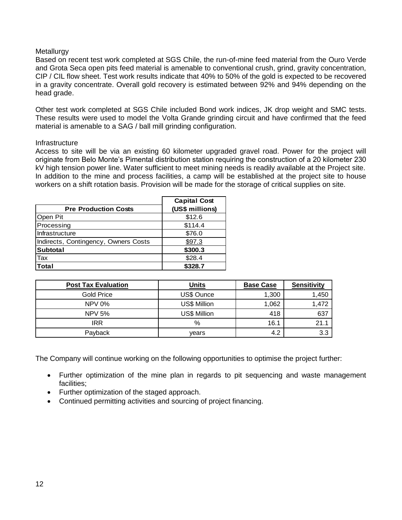## **Metallurgy**

Based on recent test work completed at SGS Chile, the run-of-mine feed material from the Ouro Verde and Grota Seca open pits feed material is amenable to conventional crush, grind, gravity concentration, CIP / CIL flow sheet. Test work results indicate that 40% to 50% of the gold is expected to be recovered in a gravity concentrate. Overall gold recovery is estimated between 92% and 94% depending on the head grade.

Other test work completed at SGS Chile included Bond work indices, JK drop weight and SMC tests. These results were used to model the Volta Grande grinding circuit and have confirmed that the feed material is amenable to a SAG / ball mill grinding configuration.

#### Infrastructure

Access to site will be via an existing 60 kilometer upgraded gravel road. Power for the project will originate from Belo Monte's Pimental distribution station requiring the construction of a 20 kilometer 230 kV high tension power line. Water sufficient to meet mining needs is readily available at the Project site. In addition to the mine and process facilities, a camp will be established at the project site to house workers on a shift rotation basis. Provision will be made for the storage of critical supplies on site.

| <b>Pre Production Costs</b>          | <b>Capital Cost</b><br>(US\$ millions) |
|--------------------------------------|----------------------------------------|
| Open Pit                             | \$12.6                                 |
| Processing                           | \$114.4                                |
| Infrastructure                       | \$76.0                                 |
| Indirects, Contingency, Owners Costs | \$97.3                                 |
| <b>Subtotal</b>                      | \$300.3                                |
| <b>Tax</b>                           | \$28.4                                 |
| <b>Total</b>                         | \$328.7                                |

| <b>Post Tax Evaluation</b> | <b>Units</b>        | <b>Base Case</b> | <b>Sensitivity</b> |
|----------------------------|---------------------|------------------|--------------------|
| <b>Gold Price</b>          | US\$ Ounce          | 1,300            | 1,450              |
| <b>NPV 0%</b>              | <b>US\$ Million</b> | 1,062            | 1,472              |
| <b>NPV 5%</b>              | US\$ Million        | 418              | 637                |
| IRR                        | %                   | 16.1             | 21.1               |
| Payback                    | vears               | 4.2              | 3.3                |

The Company will continue working on the following opportunities to optimise the project further:

- Further optimization of the mine plan in regards to pit sequencing and waste management facilities;
- Further optimization of the staged approach.
- Continued permitting activities and sourcing of project financing.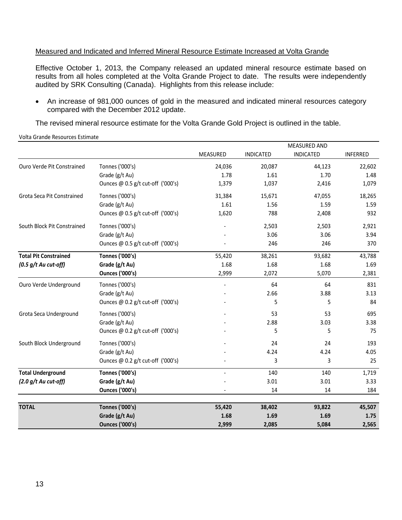## Measured and Indicated and Inferred Mineral Resource Estimate Increased at Volta Grande

Effective October 1, 2013, the Company released an updated mineral resource estimate based on results from all holes completed at the Volta Grande Project to date. The results were independently audited by SRK Consulting (Canada). Highlights from this release include:

 An increase of 981,000 ounces of gold in the measured and indicated mineral resources category compared with the December 2012 update.

The revised mineral resource estimate for the Volta Grande Gold Project is outlined in the table.

 MEASURED INDICATED MEASURED AND INDICATED INFERRED Ouro Verde Pit Constrained Tonnes ('000's) 24,036 20,087 44,123 22,602 Grade (g/t Au) 1.78 1.61 1.70 1.48 Ounces @ 0.5 g/t cut-off ('000's)  $1,379$  1,037 2,416 1,079 Grota Seca Pit Constrained Tonnes ('000's) 31,384 15,671 47,055 18,265 Grade (g/t Au) 1.61 1.56 1.59 1.59 1.59 Ounces @ 0.5 g/t cut-off ('000's)  $1,620$  788 2,408 932 South Block Pit Constrained Tonnes ('000's) - 2,503 2,503 2,921 Grade (g/t Au) 3.06 3.94 Ounces @ 0.5 g/t cut-off ('000's) - 246 246 370 **Total Pit Constrained Tonnes ('000's)** 55,420 38,261 93,682 43,788 *(0.5 g/t Au cut-off)* **Grade (g/t Au)** 1.68 1.68 1.68 1.69 **Ounces ('000's)** 2,999 2,072 5,070 2,381 Ouro Verde Underground Tonnes ('000's) - 64 64 831 Grade (g/t Au)  $-$  2.66 3.88 3.13 Ounces @ 0.2 g/t cut-off ('000's)  $\qquad \qquad$  - 5 5 5 84 Grota Seca Underground Tonnes ('000's) 695 (1998) Grade  $(g/t \text{ Au})$  3.38 3.38 Ounces @ 0.2 g/t cut-off ('000's)  $\overline{\phantom{0}}$  5 5 75 75 South Block Underground Tonnes ('000's) and the control of the control of the control of the control of the control of the control of the control of the control of the control of the control of the control of the control o Grade (g/t Au) 4.24 4.05 Ounces @ 0.2 g/t cut-off ('000's)  $\qquad \qquad$  - 3 3 3 3 25 **Total Underground Tonnes ('000's)** - 140 140 1,719 *(2.0 g/t Au cut-off)* **Grade (g/t Au)** - 3.01 3.01 3.33 **Ounces ('000's)**  $\qquad \qquad$  14 184 184 **TOTAL Tonnes ('000's) 55,420 38,402 93,822 45,507**

> **Grade (g/t Au)** 1.68 1.69 1.69 1.69 1.75 **Ounces ('000's) 2,999 2,085 5,084 2,565**

#### Volta Grande Resources Estimate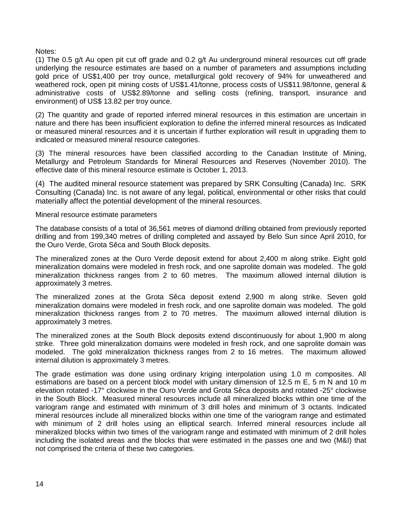Notes:

(1) The 0.5 g/t Au open pit cut off grade and 0.2 g/t Au underground mineral resources cut off grade underlying the resource estimates are based on a number of parameters and assumptions including gold price of US\$1,400 per troy ounce, metallurgical gold recovery of 94% for unweathered and weathered rock, open pit mining costs of US\$1.41/tonne, process costs of US\$11.98/tonne, general & administrative costs of US\$2.89/tonne and selling costs (refining, transport, insurance and environment) of US\$ 13.82 per troy ounce.

(2) The quantity and grade of reported inferred mineral resources in this estimation are uncertain in nature and there has been insufficient exploration to define the inferred mineral resources as Indicated or measured mineral resources and it is uncertain if further exploration will result in upgrading them to indicated or measured mineral resource categories.

(3) The mineral resources have been classified according to the Canadian Institute of Mining, Metallurgy and Petroleum Standards for Mineral Resources and Reserves (November 2010). The effective date of this mineral resource estimate is October 1, 2013.

(4) The audited mineral resource statement was prepared by SRK Consulting (Canada) Inc. SRK Consulting (Canada) Inc. is not aware of any legal, political, environmental or other risks that could materially affect the potential development of the mineral resources.

Mineral resource estimate parameters

The database consists of a total of 36,561 metres of diamond drilling obtained from previously reported drilling and from 199,340 metres of drilling completed and assayed by Belo Sun since April 2010, for the Ouro Verde, Grota Sêca and South Block deposits.

The mineralized zones at the Ouro Verde deposit extend for about 2,400 m along strike. Eight gold mineralization domains were modeled in fresh rock, and one saprolite domain was modeled. The gold mineralization thickness ranges from 2 to 60 metres. The maximum allowed internal dilution is approximately 3 metres.

The mineralized zones at the Grota Sêca deposit extend 2,900 m along strike. Seven gold mineralization domains were modeled in fresh rock, and one saprolite domain was modeled. The gold mineralization thickness ranges from 2 to 70 metres. The maximum allowed internal dilution is approximately 3 metres.

The mineralized zones at the South Block deposits extend discontinuously for about 1,900 m along strike. Three gold mineralization domains were modeled in fresh rock, and one saprolite domain was modeled. The gold mineralization thickness ranges from 2 to 16 metres. The maximum allowed internal dilution is approximately 3 metres.

The grade estimation was done using ordinary kriging interpolation using 1.0 m composites. All estimations are based on a percent block model with unitary dimension of 12.5 m E, 5 m N and 10 m elevation rotated -17° clockwise in the Ouro Verde and Grota Sêca deposits and rotated -25° clockwise in the South Block. Measured mineral resources include all mineralized blocks within one time of the variogram range and estimated with minimum of 3 drill holes and minimum of 3 octants. Indicated mineral resources include all mineralized blocks within one time of the variogram range and estimated with minimum of 2 drill holes using an elliptical search. Inferred mineral resources include all mineralized blocks within two times of the variogram range and estimated with minimum of 2 drill holes including the isolated areas and the blocks that were estimated in the passes one and two (M&I) that not comprised the criteria of these two categories.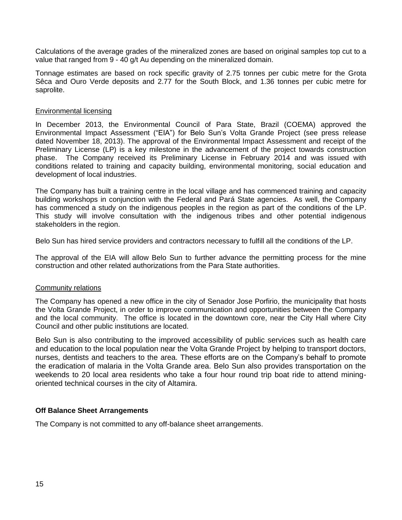Calculations of the average grades of the mineralized zones are based on original samples top cut to a value that ranged from 9 - 40 g/t Au depending on the mineralized domain.

Tonnage estimates are based on rock specific gravity of 2.75 tonnes per cubic metre for the Grota Sêca and Ouro Verde deposits and 2.77 for the South Block, and 1.36 tonnes per cubic metre for saprolite.

#### Environmental licensing

In December 2013, the Environmental Council of Para State, Brazil (COEMA) approved the Environmental Impact Assessment ("EIA") for Belo Sun's Volta Grande Project (see press release dated November 18, 2013). The approval of the Environmental Impact Assessment and receipt of the Preliminary License (LP) is a key milestone in the advancement of the project towards construction phase. The Company received its Preliminary License in February 2014 and was issued with conditions related to training and capacity building, environmental monitoring, social education and development of local industries.

The Company has built a training centre in the local village and has commenced training and capacity building workshops in conjunction with the Federal and Pará State agencies. As well, the Company has commenced a study on the indigenous peoples in the region as part of the conditions of the LP. This study will involve consultation with the indigenous tribes and other potential indigenous stakeholders in the region.

Belo Sun has hired service providers and contractors necessary to fulfill all the conditions of the LP.

The approval of the EIA will allow Belo Sun to further advance the permitting process for the mine construction and other related authorizations from the Para State authorities.

#### Community relations

The Company has opened a new office in the city of Senador Jose Porfirio, the municipality that hosts the Volta Grande Project, in order to improve communication and opportunities between the Company and the local community. The office is located in the downtown core, near the City Hall where City Council and other public institutions are located.

Belo Sun is also contributing to the improved accessibility of public services such as health care and education to the local population near the Volta Grande Project by helping to transport doctors, nurses, dentists and teachers to the area. These efforts are on the Company's behalf to promote the eradication of malaria in the Volta Grande area. Belo Sun also provides transportation on the weekends to 20 local area residents who take a four hour round trip boat ride to attend miningoriented technical courses in the city of Altamira.

## **Off Balance Sheet Arrangements**

The Company is not committed to any off-balance sheet arrangements.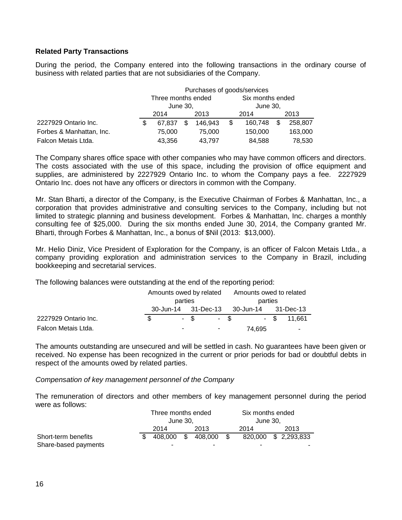## **Related Party Transactions**

During the period, the Company entered into the following transactions in the ordinary course of business with related parties that are not subsidiaries of the Company.

|                          |     | Purchases of goods/services |      |         |      |                  |      |         |  |
|--------------------------|-----|-----------------------------|------|---------|------|------------------|------|---------|--|
|                          |     | Three months ended          |      |         |      | Six months ended |      |         |  |
|                          |     | June 30,                    |      |         |      | June 30,         |      |         |  |
|                          |     | 2014                        | 2013 |         | 2014 |                  | 2013 |         |  |
| 2227929 Ontario Inc.     | \$. | 67.837                      | \$   | 146.943 | \$   | 160,748          |      | 258,807 |  |
| Forbes & Manhattan, Inc. |     | 75,000                      |      | 75,000  |      | 150,000          |      | 163,000 |  |
| Falcon Metais Ltda.      |     | 43,356                      |      | 43,797  |      | 84,588           |      | 78,530  |  |

The Company shares office space with other companies who may have common officers and directors. The costs associated with the use of this space, including the provision of office equipment and supplies, are administered by 2227929 Ontario Inc. to whom the Company pays a fee. 2227929 Ontario Inc. does not have any officers or directors in common with the Company.

Mr. Stan Bharti, a director of the Company, is the Executive Chairman of Forbes & Manhattan, Inc., a corporation that provides administrative and consulting services to the Company, including but not limited to strategic planning and business development. Forbes & Manhattan, Inc. charges a monthly consulting fee of \$25,000. During the six months ended June 30, 2014, the Company granted Mr. Bharti, through Forbes & Manhattan, Inc., a bonus of \$Nil (2013: \$13,000).

Mr. Helio Diniz, Vice President of Exploration for the Company, is an officer of Falcon Metais Ltda., a company providing exploration and administration services to the Company in Brazil, including bookkeeping and secretarial services.

The following balances were outstanding at the end of the reporting period:

|                      | Amounts owed by related |        |                          | Amounts owed to related |        |  |               |
|----------------------|-------------------------|--------|--------------------------|-------------------------|--------|--|---------------|
|                      | parties                 |        |                          | parties                 |        |  |               |
|                      |                         |        |                          |                         |        |  |               |
| 2227929 Ontario Inc. |                         | $-$ \$ |                          | $-$ \$                  |        |  | $-$ \$ 11.661 |
| Falcon Metais Ltda.  |                         |        | <b>Contract Contract</b> |                         | 74,695 |  | ۰             |

The amounts outstanding are unsecured and will be settled in cash. No guarantees have been given or received. No expense has been recognized in the current or prior periods for bad or doubtful debts in respect of the amounts owed by related parties.

*Compensation of key management personnel of the Company*

The remuneration of directors and other members of key management personnel during the period were as follows:

|                      | Three months ended |     |         |               | Six months ended |             |  |  |
|----------------------|--------------------|-----|---------|---------------|------------------|-------------|--|--|
|                      | June 30.           |     |         | June 30.      |                  |             |  |  |
|                      | 2014               |     | 2013    |               | 2014             | 2013        |  |  |
| Short-term benefits  | 408.000            | \$. | 408.000 | $\mathcal{S}$ | 820.000          | \$2,293,833 |  |  |
| Share-based payments | ٠                  |     |         |               | -                | -           |  |  |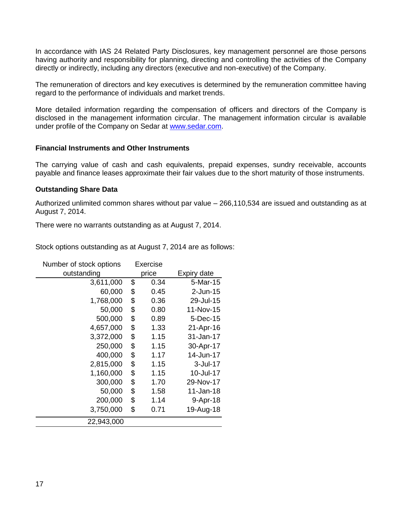In accordance with IAS 24 Related Party Disclosures, key management personnel are those persons having authority and responsibility for planning, directing and controlling the activities of the Company directly or indirectly, including any directors (executive and non-executive) of the Company.

The remuneration of directors and key executives is determined by the remuneration committee having regard to the performance of individuals and market trends.

More detailed information regarding the compensation of officers and directors of the Company is disclosed in the management information circular. The management information circular is available under profile of the Company on Sedar at [www.sedar.com.](http://www.sedar.com/)

## **Financial Instruments and Other Instruments**

The carrying value of cash and cash equivalents, prepaid expenses, sundry receivable, accounts payable and finance leases approximate their fair values due to the short maturity of those instruments.

## **Outstanding Share Data**

Authorized unlimited common shares without par value – 266,110,534 are issued and outstanding as at August 7, 2014.

There were no warrants outstanding as at August 7, 2014.

Stock options outstanding as at August 7, 2014 are as follows:

| Number of stock options | <b>Exercise</b> |             |
|-------------------------|-----------------|-------------|
| outstanding             | price           | Expiry date |
| 3,611,000               | \$<br>0.34      | 5-Mar-15    |
| 60,000                  | \$<br>0.45      | $2$ -Jun-15 |
| 1,768,000               | \$<br>0.36      | 29-Jul-15   |
| 50,000                  | \$<br>0.80      | 11-Nov-15   |
| 500,000                 | \$<br>0.89      | 5-Dec-15    |
| 4,657,000               | \$<br>1.33      | 21-Apr-16   |
| 3,372,000               | \$<br>1.15      | 31-Jan-17   |
| 250,000                 | \$<br>1.15      | 30-Apr-17   |
| 400,000                 | \$<br>1.17      | 14-Jun-17   |
| 2,815,000               | \$<br>1.15      | 3-Jul-17    |
| 1,160,000               | \$<br>1.15      | 10-Jul-17   |
| 300,000                 | \$<br>1.70      | 29-Nov-17   |
| 50,000                  | \$<br>1.58      | 11-Jan-18   |
| 200,000                 | \$<br>1.14      | 9-Apr-18    |
| 3,750,000               | \$<br>0.71      | 19-Aug-18   |
| 22,943,000              |                 |             |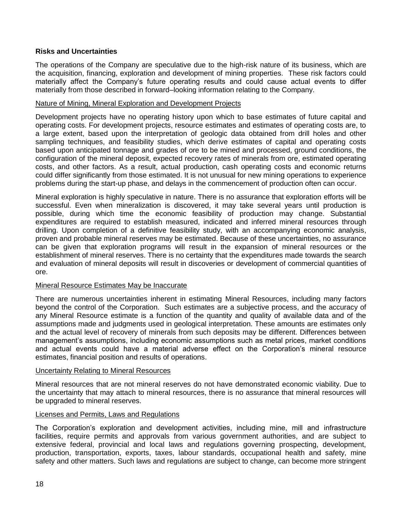## **Risks and Uncertainties**

The operations of the Company are speculative due to the high-risk nature of its business, which are the acquisition, financing, exploration and development of mining properties. These risk factors could materially affect the Company's future operating results and could cause actual events to differ materially from those described in forward–looking information relating to the Company.

#### Nature of Mining, Mineral Exploration and Development Projects

Development projects have no operating history upon which to base estimates of future capital and operating costs. For development projects, resource estimates and estimates of operating costs are, to a large extent, based upon the interpretation of geologic data obtained from drill holes and other sampling techniques, and feasibility studies, which derive estimates of capital and operating costs based upon anticipated tonnage and grades of ore to be mined and processed, ground conditions, the configuration of the mineral deposit, expected recovery rates of minerals from ore, estimated operating costs, and other factors. As a result, actual production, cash operating costs and economic returns could differ significantly from those estimated. It is not unusual for new mining operations to experience problems during the start-up phase, and delays in the commencement of production often can occur.

Mineral exploration is highly speculative in nature. There is no assurance that exploration efforts will be successful. Even when mineralization is discovered, it may take several years until production is possible, during which time the economic feasibility of production may change. Substantial expenditures are required to establish measured, indicated and inferred mineral resources through drilling. Upon completion of a definitive feasibility study, with an accompanying economic analysis, proven and probable mineral reserves may be estimated. Because of these uncertainties, no assurance can be given that exploration programs will result in the expansion of mineral resources or the establishment of mineral reserves. There is no certainty that the expenditures made towards the search and evaluation of mineral deposits will result in discoveries or development of commercial quantities of ore.

#### Mineral Resource Estimates May be Inaccurate

There are numerous uncertainties inherent in estimating Mineral Resources, including many factors beyond the control of the Corporation. Such estimates are a subjective process, and the accuracy of any Mineral Resource estimate is a function of the quantity and quality of available data and of the assumptions made and judgments used in geological interpretation. These amounts are estimates only and the actual level of recovery of minerals from such deposits may be different. Differences between management's assumptions, including economic assumptions such as metal prices, market conditions and actual events could have a material adverse effect on the Corporation's mineral resource estimates, financial position and results of operations.

#### Uncertainty Relating to Mineral Resources

Mineral resources that are not mineral reserves do not have demonstrated economic viability. Due to the uncertainty that may attach to mineral resources, there is no assurance that mineral resources will be upgraded to mineral reserves.

#### Licenses and Permits, Laws and Regulations

The Corporation's exploration and development activities, including mine, mill and infrastructure facilities, require permits and approvals from various government authorities, and are subject to extensive federal, provincial and local laws and regulations governing prospecting, development, production, transportation, exports, taxes, labour standards, occupational health and safety, mine safety and other matters. Such laws and regulations are subject to change, can become more stringent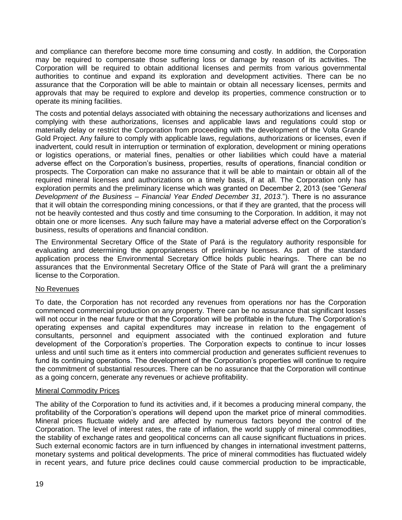and compliance can therefore become more time consuming and costly. In addition, the Corporation may be required to compensate those suffering loss or damage by reason of its activities. The Corporation will be required to obtain additional licenses and permits from various governmental authorities to continue and expand its exploration and development activities. There can be no assurance that the Corporation will be able to maintain or obtain all necessary licenses, permits and approvals that may be required to explore and develop its properties, commence construction or to operate its mining facilities.

The costs and potential delays associated with obtaining the necessary authorizations and licenses and complying with these authorizations, licenses and applicable laws and regulations could stop or materially delay or restrict the Corporation from proceeding with the development of the Volta Grande Gold Project. Any failure to comply with applicable laws, regulations, authorizations or licenses, even if inadvertent, could result in interruption or termination of exploration, development or mining operations or logistics operations, or material fines, penalties or other liabilities which could have a material adverse effect on the Corporation's business, properties, results of operations, financial condition or prospects. The Corporation can make no assurance that it will be able to maintain or obtain all of the required mineral licenses and authorizations on a timely basis, if at all. The Corporation only has exploration permits and the preliminary license which was granted on December 2, 2013 (see "*General Development of the Business – Financial Year Ended December 31, 2013*."). There is no assurance that it will obtain the corresponding mining concessions, or that if they are granted, that the process will not be heavily contested and thus costly and time consuming to the Corporation. In addition, it may not obtain one or more licenses. Any such failure may have a material adverse effect on the Corporation's business, results of operations and financial condition.

The Environmental Secretary Office of the State of Pará is the regulatory authority responsible for evaluating and determining the appropriateness of preliminary licenses. As part of the standard application process the Environmental Secretary Office holds public hearings. There can be no assurances that the Environmental Secretary Office of the State of Pará will grant the a preliminary license to the Corporation.

## No Revenues

To date, the Corporation has not recorded any revenues from operations nor has the Corporation commenced commercial production on any property. There can be no assurance that significant losses will not occur in the near future or that the Corporation will be profitable in the future. The Corporation's operating expenses and capital expenditures may increase in relation to the engagement of consultants, personnel and equipment associated with the continued exploration and future development of the Corporation's properties. The Corporation expects to continue to incur losses unless and until such time as it enters into commercial production and generates sufficient revenues to fund its continuing operations. The development of the Corporation's properties will continue to require the commitment of substantial resources. There can be no assurance that the Corporation will continue as a going concern, generate any revenues or achieve profitability.

## Mineral Commodity Prices

The ability of the Corporation to fund its activities and, if it becomes a producing mineral company, the profitability of the Corporation's operations will depend upon the market price of mineral commodities. Mineral prices fluctuate widely and are affected by numerous factors beyond the control of the Corporation. The level of interest rates, the rate of inflation, the world supply of mineral commodities, the stability of exchange rates and geopolitical concerns can all cause significant fluctuations in prices. Such external economic factors are in turn influenced by changes in international investment patterns, monetary systems and political developments. The price of mineral commodities has fluctuated widely in recent years, and future price declines could cause commercial production to be impracticable,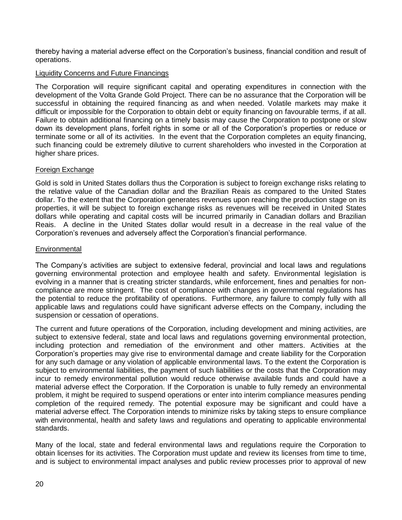thereby having a material adverse effect on the Corporation's business, financial condition and result of operations.

## Liquidity Concerns and Future Financings

The Corporation will require significant capital and operating expenditures in connection with the development of the Volta Grande Gold Project. There can be no assurance that the Corporation will be successful in obtaining the required financing as and when needed. Volatile markets may make it difficult or impossible for the Corporation to obtain debt or equity financing on favourable terms, if at all. Failure to obtain additional financing on a timely basis may cause the Corporation to postpone or slow down its development plans, forfeit rights in some or all of the Corporation's properties or reduce or terminate some or all of its activities. In the event that the Corporation completes an equity financing, such financing could be extremely dilutive to current shareholders who invested in the Corporation at higher share prices.

## Foreign Exchange

Gold is sold in United States dollars thus the Corporation is subject to foreign exchange risks relating to the relative value of the Canadian dollar and the Brazilian Reais as compared to the United States dollar. To the extent that the Corporation generates revenues upon reaching the production stage on its properties, it will be subject to foreign exchange risks as revenues will be received in United States dollars while operating and capital costs will be incurred primarily in Canadian dollars and Brazilian Reais. A decline in the United States dollar would result in a decrease in the real value of the Corporation's revenues and adversely affect the Corporation's financial performance.

## **Environmental**

The Company's activities are subject to extensive federal, provincial and local laws and regulations governing environmental protection and employee health and safety. Environmental legislation is evolving in a manner that is creating stricter standards, while enforcement, fines and penalties for noncompliance are more stringent. The cost of compliance with changes in governmental regulations has the potential to reduce the profitability of operations. Furthermore, any failure to comply fully with all applicable laws and regulations could have significant adverse effects on the Company, including the suspension or cessation of operations.

The current and future operations of the Corporation, including development and mining activities, are subject to extensive federal, state and local laws and regulations governing environmental protection, including protection and remediation of the environment and other matters. Activities at the Corporation's properties may give rise to environmental damage and create liability for the Corporation for any such damage or any violation of applicable environmental laws. To the extent the Corporation is subject to environmental liabilities, the payment of such liabilities or the costs that the Corporation may incur to remedy environmental pollution would reduce otherwise available funds and could have a material adverse effect the Corporation. If the Corporation is unable to fully remedy an environmental problem, it might be required to suspend operations or enter into interim compliance measures pending completion of the required remedy. The potential exposure may be significant and could have a material adverse effect. The Corporation intends to minimize risks by taking steps to ensure compliance with environmental, health and safety laws and regulations and operating to applicable environmental standards.

Many of the local, state and federal environmental laws and regulations require the Corporation to obtain licenses for its activities. The Corporation must update and review its licenses from time to time, and is subject to environmental impact analyses and public review processes prior to approval of new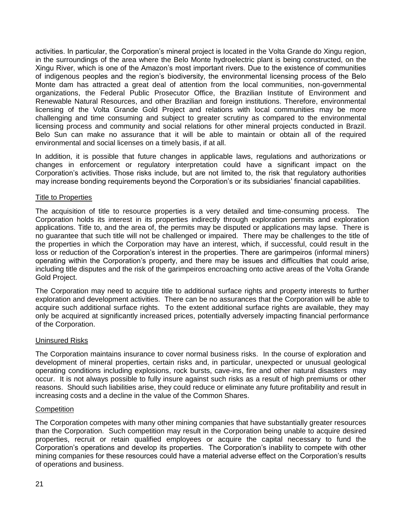activities. In particular, the Corporation's mineral project is located in the Volta Grande do Xingu region, in the surroundings of the area where the Belo Monte hydroelectric plant is being constructed, on the Xingu River, which is one of the Amazon's most important rivers. Due to the existence of communities of indigenous peoples and the region's biodiversity, the environmental licensing process of the Belo Monte dam has attracted a great deal of attention from the local communities, non-governmental organizations, the Federal Public Prosecutor Office, the Brazilian Institute of Environment and Renewable Natural Resources, and other Brazilian and foreign institutions. Therefore, environmental licensing of the Volta Grande Gold Project and relations with local communities may be more challenging and time consuming and subject to greater scrutiny as compared to the environmental licensing process and community and social relations for other mineral projects conducted in Brazil. Belo Sun can make no assurance that it will be able to maintain or obtain all of the required environmental and social licenses on a timely basis, if at all.

In addition, it is possible that future changes in applicable laws, regulations and authorizations or changes in enforcement or regulatory interpretation could have a significant impact on the Corporation's activities. Those risks include, but are not limited to, the risk that regulatory authorities may increase bonding requirements beyond the Corporation's or its subsidiaries' financial capabilities.

## Title to Properties

The acquisition of title to resource properties is a very detailed and time-consuming process. The Corporation holds its interest in its properties indirectly through exploration permits and exploration applications. Title to, and the area of, the permits may be disputed or applications may lapse. There is no guarantee that such title will not be challenged or impaired. There may be challenges to the title of the properties in which the Corporation may have an interest, which, if successful, could result in the loss or reduction of the Corporation's interest in the properties. There are garimpeiros (informal miners) operating within the Corporation's property, and there may be issues and difficulties that could arise, including title disputes and the risk of the garimpeiros encroaching onto active areas of the Volta Grande Gold Project.

The Corporation may need to acquire title to additional surface rights and property interests to further exploration and development activities. There can be no assurances that the Corporation will be able to acquire such additional surface rights. To the extent additional surface rights are available, they may only be acquired at significantly increased prices, potentially adversely impacting financial performance of the Corporation.

#### Uninsured Risks

The Corporation maintains insurance to cover normal business risks. In the course of exploration and development of mineral properties, certain risks and, in particular, unexpected or unusual geological operating conditions including explosions, rock bursts, cave-ins, fire and other natural disasters may occur. It is not always possible to fully insure against such risks as a result of high premiums or other reasons. Should such liabilities arise, they could reduce or eliminate any future profitability and result in increasing costs and a decline in the value of the Common Shares.

#### **Competition**

The Corporation competes with many other mining companies that have substantially greater resources than the Corporation. Such competition may result in the Corporation being unable to acquire desired properties, recruit or retain qualified employees or acquire the capital necessary to fund the Corporation's operations and develop its properties. The Corporation's inability to compete with other mining companies for these resources could have a material adverse effect on the Corporation's results of operations and business.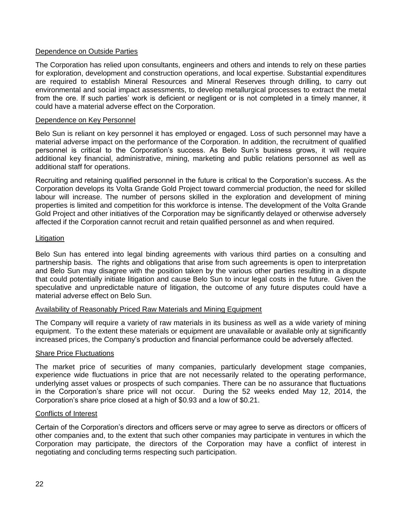## Dependence on Outside Parties

The Corporation has relied upon consultants, engineers and others and intends to rely on these parties for exploration, development and construction operations, and local expertise. Substantial expenditures are required to establish Mineral Resources and Mineral Reserves through drilling, to carry out environmental and social impact assessments, to develop metallurgical processes to extract the metal from the ore. If such parties' work is deficient or negligent or is not completed in a timely manner, it could have a material adverse effect on the Corporation.

#### Dependence on Key Personnel

Belo Sun is reliant on key personnel it has employed or engaged. Loss of such personnel may have a material adverse impact on the performance of the Corporation. In addition, the recruitment of qualified personnel is critical to the Corporation's success. As Belo Sun's business grows, it will require additional key financial, administrative, mining, marketing and public relations personnel as well as additional staff for operations.

Recruiting and retaining qualified personnel in the future is critical to the Corporation's success. As the Corporation develops its Volta Grande Gold Project toward commercial production, the need for skilled labour will increase. The number of persons skilled in the exploration and development of mining properties is limited and competition for this workforce is intense. The development of the Volta Grande Gold Project and other initiatives of the Corporation may be significantly delayed or otherwise adversely affected if the Corporation cannot recruit and retain qualified personnel as and when required.

#### Litigation

Belo Sun has entered into legal binding agreements with various third parties on a consulting and partnership basis. The rights and obligations that arise from such agreements is open to interpretation and Belo Sun may disagree with the position taken by the various other parties resulting in a dispute that could potentially initiate litigation and cause Belo Sun to incur legal costs in the future. Given the speculative and unpredictable nature of litigation, the outcome of any future disputes could have a material adverse effect on Belo Sun.

#### Availability of Reasonably Priced Raw Materials and Mining Equipment

The Company will require a variety of raw materials in its business as well as a wide variety of mining equipment. To the extent these materials or equipment are unavailable or available only at significantly increased prices, the Company's production and financial performance could be adversely affected.

#### Share Price Fluctuations

The market price of securities of many companies, particularly development stage companies, experience wide fluctuations in price that are not necessarily related to the operating performance, underlying asset values or prospects of such companies. There can be no assurance that fluctuations in the Corporation's share price will not occur. During the 52 weeks ended May 12, 2014, the Corporation's share price closed at a high of \$0.93 and a low of \$0.21.

#### Conflicts of Interest

Certain of the Corporation's directors and officers serve or may agree to serve as directors or officers of other companies and, to the extent that such other companies may participate in ventures in which the Corporation may participate, the directors of the Corporation may have a conflict of interest in negotiating and concluding terms respecting such participation.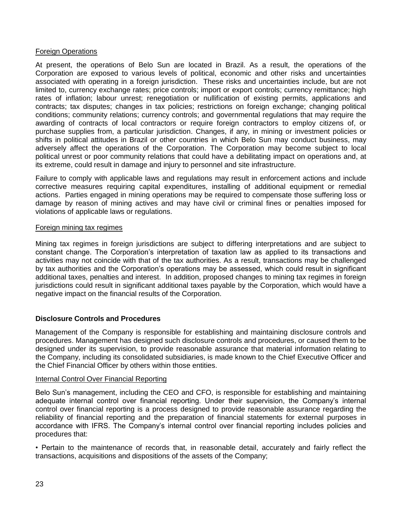## Foreign Operations

At present, the operations of Belo Sun are located in Brazil. As a result, the operations of the Corporation are exposed to various levels of political, economic and other risks and uncertainties associated with operating in a foreign jurisdiction. These risks and uncertainties include, but are not limited to, currency exchange rates; price controls; import or export controls; currency remittance; high rates of inflation; labour unrest; renegotiation or nullification of existing permits, applications and contracts; tax disputes; changes in tax policies; restrictions on foreign exchange; changing political conditions; community relations; currency controls; and governmental regulations that may require the awarding of contracts of local contractors or require foreign contractors to employ citizens of, or purchase supplies from, a particular jurisdiction. Changes, if any, in mining or investment policies or shifts in political attitudes in Brazil or other countries in which Belo Sun may conduct business, may adversely affect the operations of the Corporation. The Corporation may become subject to local political unrest or poor community relations that could have a debilitating impact on operations and, at its extreme, could result in damage and injury to personnel and site infrastructure.

Failure to comply with applicable laws and regulations may result in enforcement actions and include corrective measures requiring capital expenditures, installing of additional equipment or remedial actions. Parties engaged in mining operations may be required to compensate those suffering loss or damage by reason of mining actives and may have civil or criminal fines or penalties imposed for violations of applicable laws or regulations.

## Foreign mining tax regimes

Mining tax regimes in foreign jurisdictions are subject to differing interpretations and are subject to constant change. The Corporation's interpretation of taxation law as applied to its transactions and activities may not coincide with that of the tax authorities. As a result, transactions may be challenged by tax authorities and the Corporation's operations may be assessed, which could result in significant additional taxes, penalties and interest. In addition, proposed changes to mining tax regimes in foreign jurisdictions could result in significant additional taxes payable by the Corporation, which would have a negative impact on the financial results of the Corporation.

## **Disclosure Controls and Procedures**

Management of the Company is responsible for establishing and maintaining disclosure controls and procedures. Management has designed such disclosure controls and procedures, or caused them to be designed under its supervision, to provide reasonable assurance that material information relating to the Company, including its consolidated subsidiaries, is made known to the Chief Executive Officer and the Chief Financial Officer by others within those entities.

## Internal Control Over Financial Reporting

Belo Sun's management, including the CEO and CFO, is responsible for establishing and maintaining adequate internal control over financial reporting. Under their supervision, the Company's internal control over financial reporting is a process designed to provide reasonable assurance regarding the reliability of financial reporting and the preparation of financial statements for external purposes in accordance with IFRS. The Company's internal control over financial reporting includes policies and procedures that:

• Pertain to the maintenance of records that, in reasonable detail, accurately and fairly reflect the transactions, acquisitions and dispositions of the assets of the Company;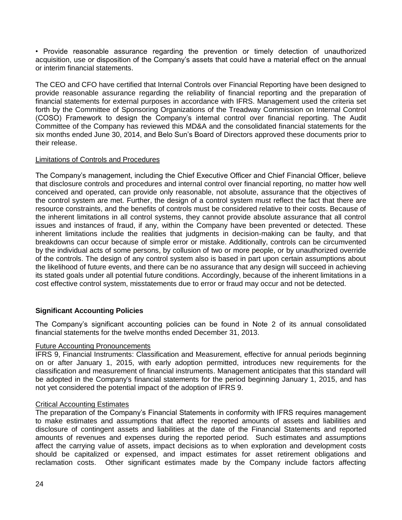• Provide reasonable assurance regarding the prevention or timely detection of unauthorized acquisition, use or disposition of the Company's assets that could have a material effect on the annual or interim financial statements.

The CEO and CFO have certified that Internal Controls over Financial Reporting have been designed to provide reasonable assurance regarding the reliability of financial reporting and the preparation of financial statements for external purposes in accordance with IFRS. Management used the criteria set forth by the Committee of Sponsoring Organizations of the Treadway Commission on Internal Control (COSO) Framework to design the Company's internal control over financial reporting. The Audit Committee of the Company has reviewed this MD&A and the consolidated financial statements for the six months ended June 30, 2014, and Belo Sun's Board of Directors approved these documents prior to their release.

# Limitations of Controls and Procedures

The Company's management, including the Chief Executive Officer and Chief Financial Officer, believe that disclosure controls and procedures and internal control over financial reporting, no matter how well conceived and operated, can provide only reasonable, not absolute, assurance that the objectives of the control system are met. Further, the design of a control system must reflect the fact that there are resource constraints, and the benefits of controls must be considered relative to their costs. Because of the inherent limitations in all control systems, they cannot provide absolute assurance that all control issues and instances of fraud, if any, within the Company have been prevented or detected. These inherent limitations include the realities that judgments in decision-making can be faulty, and that breakdowns can occur because of simple error or mistake. Additionally, controls can be circumvented by the individual acts of some persons, by collusion of two or more people, or by unauthorized override of the controls. The design of any control system also is based in part upon certain assumptions about the likelihood of future events, and there can be no assurance that any design will succeed in achieving its stated goals under all potential future conditions. Accordingly, because of the inherent limitations in a cost effective control system, misstatements due to error or fraud may occur and not be detected.

# **Significant Accounting Policies**

The Company's significant accounting policies can be found in Note 2 of its annual consolidated financial statements for the twelve months ended December 31, 2013.

## Future Accounting Pronouncements

IFRS 9, Financial Instruments: Classification and Measurement, effective for annual periods beginning on or after January 1, 2015, with early adoption permitted, introduces new requirements for the classification and measurement of financial instruments. Management anticipates that this standard will be adopted in the Company's financial statements for the period beginning January 1, 2015, and has not yet considered the potential impact of the adoption of IFRS 9.

## Critical Accounting Estimates

The preparation of the Company's Financial Statements in conformity with IFRS requires management to make estimates and assumptions that affect the reported amounts of assets and liabilities and disclosure of contingent assets and liabilities at the date of the Financial Statements and reported amounts of revenues and expenses during the reported period. Such estimates and assumptions affect the carrying value of assets, impact decisions as to when exploration and development costs should be capitalized or expensed, and impact estimates for asset retirement obligations and reclamation costs. Other significant estimates made by the Company include factors affecting